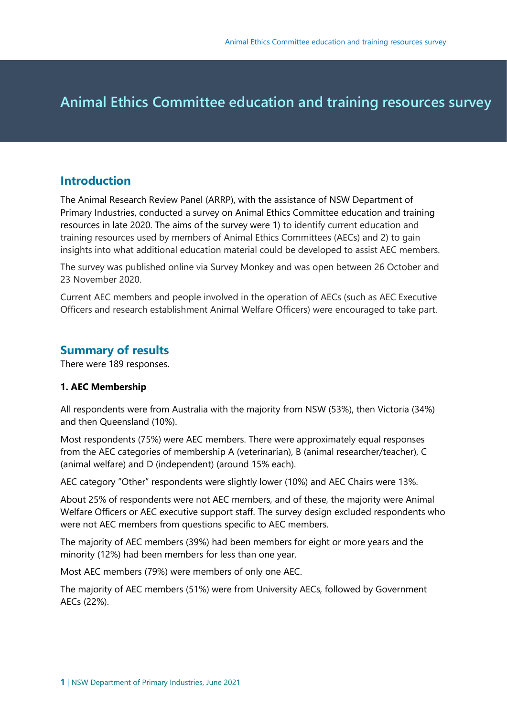# • **Animal Ethics Committee education and training resources survey**

## **Introduction**

The Animal Research Review Panel (ARRP), with the assistance of NSW Department of Primary Industries, conducted a survey on Animal Ethics Committee education and training resources in late 2020. The aims of the survey were 1) to identify current education and training resources used by members of Animal Ethics Committees (AECs) and 2) to gain insights into what additional education material could be developed to assist AEC members.

The survey was published online via Survey Monkey and was open between 26 October and 23 November 2020.

Current AEC members and people involved in the operation of AECs (such as AEC Executive Officers and research establishment Animal Welfare Officers) were encouraged to take part.

# **Summary of results**

There were 189 responses.

## **1. AEC Membership**

All respondents were from Australia with the majority from NSW (53%), then Victoria (34%) and then Queensland (10%).

Most respondents (75%) were AEC members. There were approximately equal responses from the AEC categories of membership A (veterinarian), B (animal researcher/teacher), C (animal welfare) and D (independent) (around 15% each).

AEC category "Other" respondents were slightly lower (10%) and AEC Chairs were 13%.

About 25% of respondents were not AEC members, and of these, the majority were Animal Welfare Officers or AEC executive support staff. The survey design excluded respondents who were not AEC members from questions specific to AEC members.

The majority of AEC members (39%) had been members for eight or more years and the minority (12%) had been members for less than one year.

Most AEC members (79%) were members of only one AEC.

The majority of AEC members (51%) were from University AECs, followed by Government AECs (22%).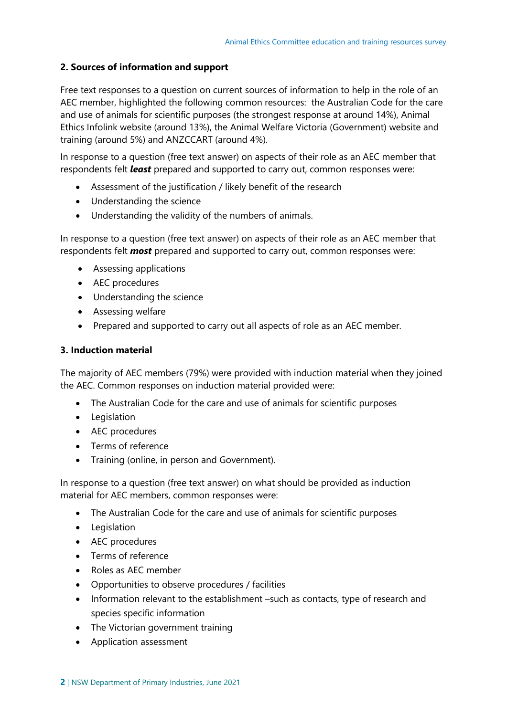#### **2. Sources of information and support**

Free text responses to a question on current sources of information to help in the role of an AEC member, highlighted the following common resources: the Australian Code for the care and use of animals for scientific purposes (the strongest response at around 14%), Animal Ethics Infolink website (around 13%), the Animal Welfare Victoria (Government) website and training (around 5%) and ANZCCART (around 4%).

In response to a question (free text answer) on aspects of their role as an AEC member that respondents felt *least* prepared and supported to carry out, common responses were:

- Assessment of the justification / likely benefit of the research
- Understanding the science
- Understanding the validity of the numbers of animals.

In response to a question (free text answer) on aspects of their role as an AEC member that respondents felt *most* prepared and supported to carry out, common responses were:

- Assessing applications
- AEC procedures
- Understanding the science
- Assessing welfare
- Prepared and supported to carry out all aspects of role as an AEC member.

#### **3. Induction material**

The majority of AEC members (79%) were provided with induction material when they joined the AEC. Common responses on induction material provided were:

- The Australian Code for the care and use of animals for scientific purposes
- Legislation
- AEC procedures
- Terms of reference
- Training (online, in person and Government).

In response to a question (free text answer) on what should be provided as induction material for AEC members, common responses were:

- The Australian Code for the care and use of animals for scientific purposes
- Legislation
- AEC procedures
- Terms of reference
- Roles as AEC member
- Opportunities to observe procedures / facilities
- Information relevant to the establishment –such as contacts, type of research and species specific information
- The Victorian government training
- Application assessment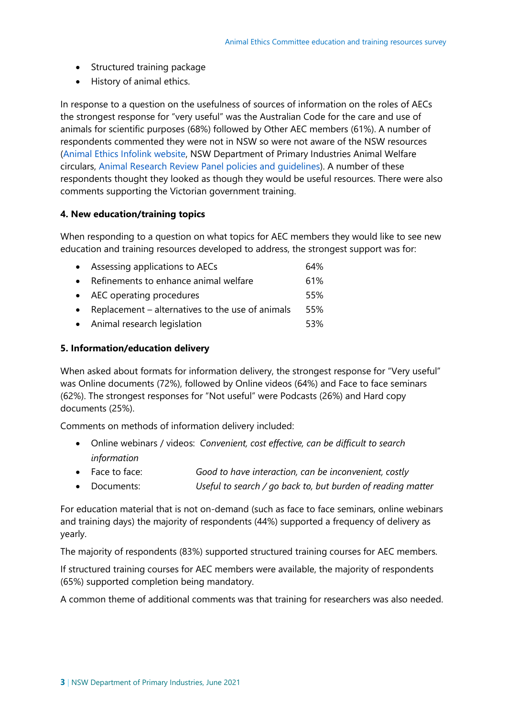- Structured training package
- History of animal ethics.

In response to a question on the usefulness of sources of information on the roles of AECs the strongest response for "very useful" was the Australian Code for the care and use of animals for scientific purposes (68%) followed by Other AEC members (61%). A number of respondents commented they were not in NSW so were not aware of the NSW resources [\(Animal Ethics Infolink website,](https://www.animalethics.org.au/home) NSW Department of Primary Industries Animal Welfare circulars, [Animal Research Review Panel policies and guidelines\)](https://www.animalethics.org.au/policies-and-guidelines). A number of these respondents thought they looked as though they would be useful resources. There were also comments supporting the Victorian government training.

## **4. New education/training topics**

When responding to a question on what topics for AEC members they would like to see new education and training resources developed to address, the strongest support was for:

| • Assessing applications to AECs                     | 64% |
|------------------------------------------------------|-----|
| • Refinements to enhance animal welfare              | 61% |
| • AEC operating procedures                           | 55% |
| • Replacement $-$ alternatives to the use of animals | 55% |
| • Animal research legislation                        | 53% |

#### **5. Information/education delivery**

When asked about formats for information delivery, the strongest response for "Very useful" was Online documents (72%), followed by Online videos (64%) and Face to face seminars (62%). The strongest responses for "Not useful" were Podcasts (26%) and Hard copy documents (25%).

Comments on methods of information delivery included:

- Online webinars / videos: *Convenient, cost effective, can be difficult to search information*
- Face to face: *Good to have interaction, can be inconvenient, costly*
- Documents: *Useful to search / go back to, but burden of reading matter*

For education material that is not on-demand (such as face to face seminars, online webinars and training days) the majority of respondents (44%) supported a frequency of delivery as yearly.

The majority of respondents (83%) supported structured training courses for AEC members.

If structured training courses for AEC members were available, the majority of respondents (65%) supported completion being mandatory.

A common theme of additional comments was that training for researchers was also needed.